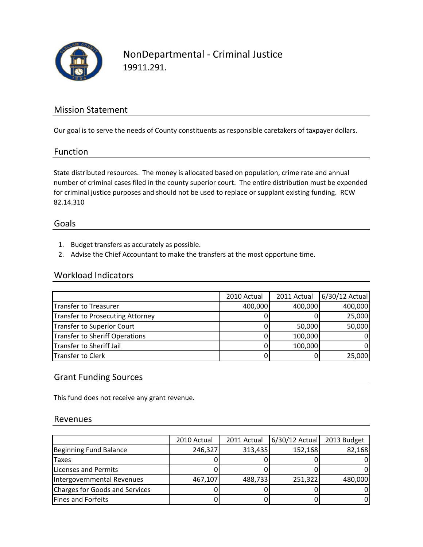

## NonDepartmental ‐ Criminal Justice 19911.291.

### Mission Statement

Our goal is to serve the needs of County constituents as responsible caretakers of taxpayer dollars.

#### Function

State distributed resources. The money is allocated based on population, crime rate and annual number of criminal cases filed in the county superior court. The entire distribution must be expended for criminal justice purposes and should not be used to replace or supplant existing funding. RCW 82.14.310

#### Goals

- 1. Budget transfers as accurately as possible.
- 2. Advise the Chief Accountant to make the transfers at the most opportune time.

#### Workload Indicators

|                                  | 2010 Actual | 2011 Actual | 6/30/12 Actual |
|----------------------------------|-------------|-------------|----------------|
| Transfer to Treasurer            | 400,000     | 400,000     | 400,000        |
| Transfer to Prosecuting Attorney |             |             | 25,000         |
| Transfer to Superior Court       |             | 50,000      | 50,000         |
| Transfer to Sheriff Operations   |             | 100,000     | 01             |
| Transfer to Sheriff Jail         |             | 100,000     | 0l             |
| Transfer to Clerk                |             |             | 25,000         |

### Grant Funding Sources

This fund does not receive any grant revenue.

#### Revenues

|                                | 2010 Actual | 2011 Actual | $6/30/12$ Actual | 2013 Budget |
|--------------------------------|-------------|-------------|------------------|-------------|
| Beginning Fund Balance         | 246,327     | 313,435     | 152,168          | 82,168      |
| <b>Taxes</b>                   |             |             |                  |             |
| Licenses and Permits           |             |             |                  |             |
| Intergovernmental Revenues     | 467,107     | 488,733     | 251,322          | 480,000     |
| Charges for Goods and Services |             |             |                  |             |
| <b>Fines and Forfeits</b>      |             |             |                  |             |